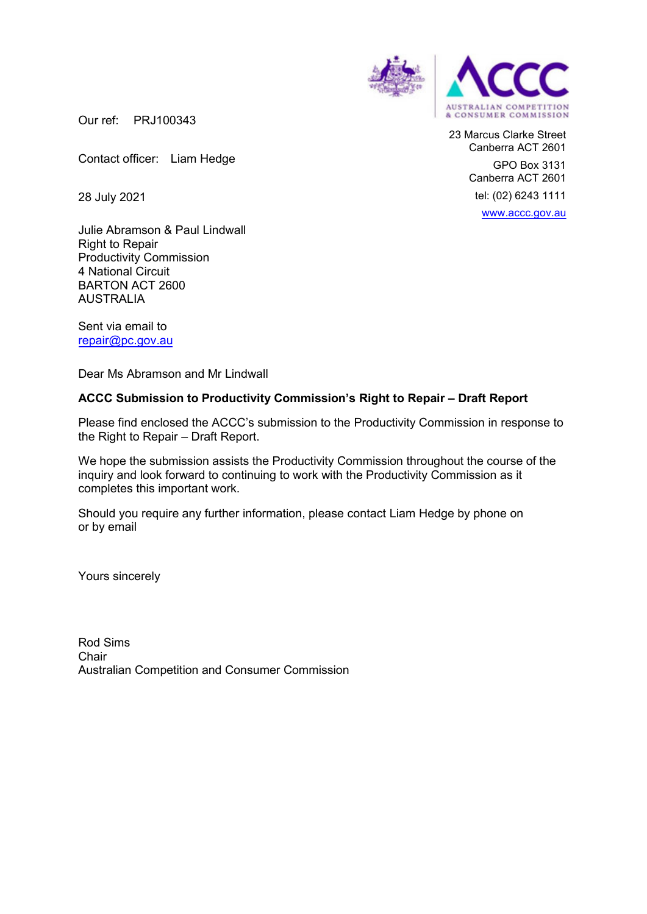

23 Marcus Clarke Street Canberra ACT 2601 GPO Box 3131 Canberra ACT 2601 tel: (02) 6243 1111 www.accc.gov.au

Our ref: PRJ100343

Contact officer: Liam Hedge

28 July 2021

Julie Abramson & Paul Lindwall Right to Repair Productivity Commission 4 National Circuit BARTON ACT 2600 AUSTRALIA

Sent via email to repair@pc.gov.au

Dear Ms Abramson and Mr Lindwall

#### **ACCC Submission to Productivity Commission's Right to Repair – Draft Report**

Please find enclosed the ACCC's submission to the Productivity Commission in response to the Right to Repair – Draft Report.

We hope the submission assists the Productivity Commission throughout the course of the inquiry and look forward to continuing to work with the Productivity Commission as it completes this important work.

Should you require any further information, please contact Liam Hedge by phone on or by email

Yours sincerely

Rod Sims **Chair** Australian Competition and Consumer Commission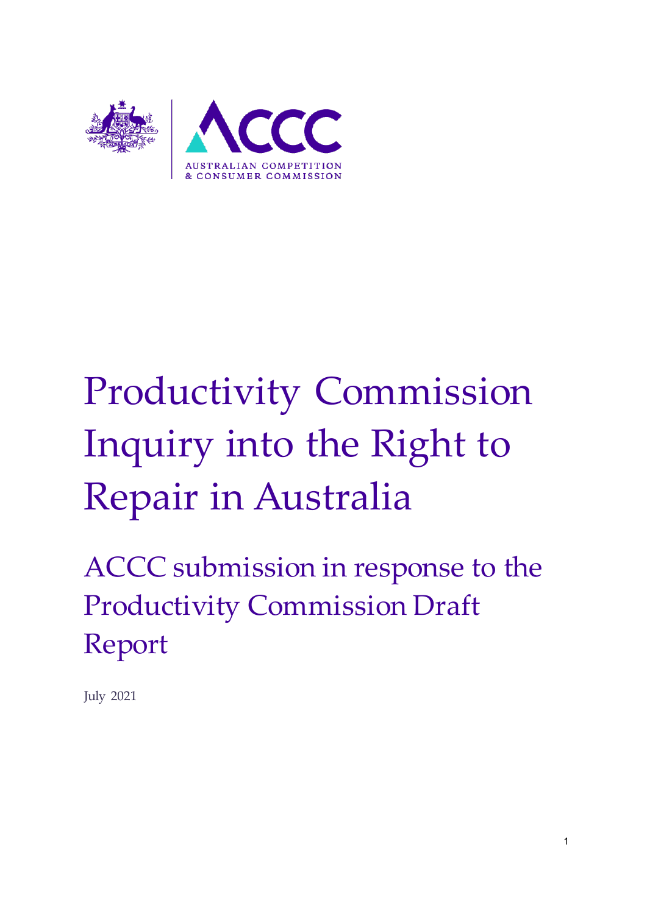

# Productivity Commission Inquiry into the Right to Repair in Australia

ACCC submission in response to the Productivity Commission Draft Report

July 2021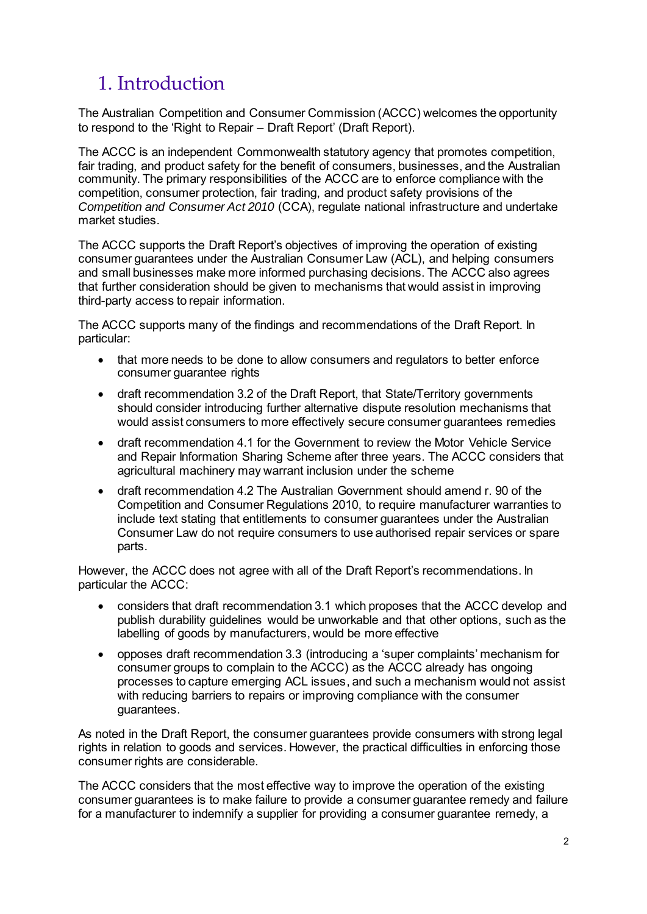## 1. Introduction

The Australian Competition and Consumer Commission (ACCC) welcomes the opportunity to respond to the 'Right to Repair – Draft Report' (Draft Report).

The ACCC is an independent Commonwealth statutory agency that promotes competition, fair trading, and product safety for the benefit of consumers, businesses, and the Australian community. The primary responsibilities of the ACCC are to enforce compliance with the competition, consumer protection, fair trading, and product safety provisions of the *Competition and Consumer Act 2010* (CCA), regulate national infrastructure and undertake market studies.

The ACCC supports the Draft Report's objectives of improving the operation of existing consumer guarantees under the Australian Consumer Law (ACL), and helping consumers and small businesses make more informed purchasing decisions. The ACCC also agrees that further consideration should be given to mechanisms that would assist in improving third-party access to repair information.

The ACCC supports many of the findings and recommendations of the Draft Report. In particular:

- that more needs to be done to allow consumers and regulators to better enforce consumer guarantee rights
- draft recommendation 3.2 of the Draft Report, that State/Territory governments should consider introducing further alternative dispute resolution mechanisms that would assist consumers to more effectively secure consumer guarantees remedies
- draft recommendation 4.1 for the Government to review the Motor Vehicle Service and Repair Information Sharing Scheme after three years. The ACCC considers that agricultural machinery may warrant inclusion under the scheme
- draft recommendation 4.2 The Australian Government should amend r. 90 of the Competition and Consumer Regulations 2010, to require manufacturer warranties to include text stating that entitlements to consumer guarantees under the Australian Consumer Law do not require consumers to use authorised repair services or spare parts.

However, the ACCC does not agree with all of the Draft Report's recommendations. In particular the ACCC:

- considers that draft recommendation 3.1 which proposes that the ACCC develop and publish durability guidelines would be unworkable and that other options, such as the labelling of goods by manufacturers, would be more effective
- opposes draft recommendation 3.3 (introducing a 'super complaints' mechanism for consumer groups to complain to the ACCC) as the ACCC already has ongoing processes to capture emerging ACL issues, and such a mechanism would not assist with reducing barriers to repairs or improving compliance with the consumer guarantees.

As noted in the Draft Report, the consumer guarantees provide consumers with strong legal rights in relation to goods and services. However, the practical difficulties in enforcing those consumer rights are considerable.

The ACCC considers that the most effective way to improve the operation of the existing consumer guarantees is to make failure to provide a consumer guarantee remedy and failure for a manufacturer to indemnify a supplier for providing a consumer guarantee remedy, a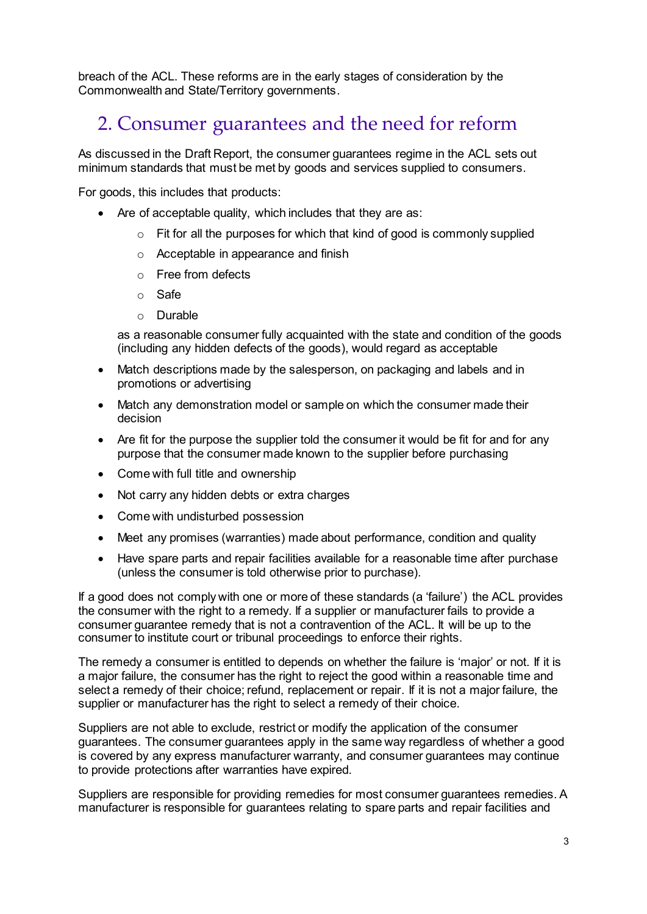breach of the ACL. These reforms are in the early stages of consideration by the Commonwealth and State/Territory governments.

## 2. Consumer guarantees and the need for reform

As discussed in the Draft Report, the consumer guarantees regime in the ACL sets out minimum standards that must be met by goods and services supplied to consumers.

For goods, this includes that products:

- Are of acceptable quality, which includes that they are as:
	- $\circ$  Fit for all the purposes for which that kind of good is commonly supplied
	- o Acceptable in appearance and finish
	- o Free from defects
	- o Safe
	- o Durable

as a reasonable consumer fully acquainted with the state and condition of the goods (including any hidden defects of the goods), would regard as acceptable

- Match descriptions made by the salesperson, on packaging and labels and in promotions or advertising
- Match any demonstration model or sample on which the consumer made their decision
- Are fit for the purpose the supplier told the consumer it would be fit for and for any purpose that the consumer made known to the supplier before purchasing
- Come with full title and ownership
- Not carry any hidden debts or extra charges
- Come with undisturbed possession
- Meet any promises (warranties) made about performance, condition and quality
- Have spare parts and repair facilities available for a reasonable time after purchase (unless the consumer is told otherwise prior to purchase).

If a good does not comply with one or more of these standards (a 'failure') the ACL provides the consumer with the right to a remedy. If a supplier or manufacturer fails to provide a consumer guarantee remedy that is not a contravention of the ACL. It will be up to the consumer to institute court or tribunal proceedings to enforce their rights.

The remedy a consumer is entitled to depends on whether the failure is 'major' or not. If it is a major failure, the consumer has the right to reject the good within a reasonable time and select a remedy of their choice; refund, replacement or repair. If it is not a major failure, the supplier or manufacturer has the right to select a remedy of their choice.

Suppliers are not able to exclude, restrict or modify the application of the consumer guarantees. The consumer guarantees apply in the same way regardless of whether a good is covered by any express manufacturer warranty, and consumer guarantees may continue to provide protections after warranties have expired.

Suppliers are responsible for providing remedies for most consumer guarantees remedies. A manufacturer is responsible for guarantees relating to spare parts and repair facilities and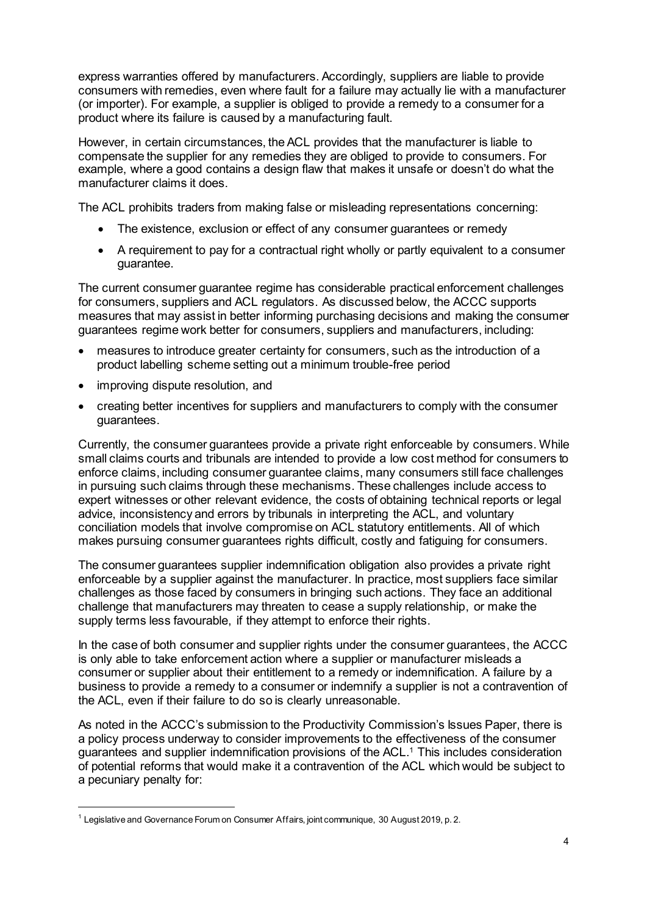express warranties offered by manufacturers. Accordingly, suppliers are liable to provide consumers with remedies, even where fault for a failure may actually lie with a manufacturer (or importer). For example, a supplier is obliged to provide a remedy to a consumer for a product where its failure is caused by a manufacturing fault.

However, in certain circumstances, the ACL provides that the manufacturer is liable to compensate the supplier for any remedies they are obliged to provide to consumers. For example, where a good contains a design flaw that makes it unsafe or doesn't do what the manufacturer claims it does.

The ACL prohibits traders from making false or misleading representations concerning:

- The existence, exclusion or effect of any consumer quarantees or remedy
- A requirement to pay for a contractual right wholly or partly equivalent to a consumer guarantee.

The current consumer guarantee regime has considerable practical enforcement challenges for consumers, suppliers and ACL regulators. As discussed below, the ACCC supports measures that may assist in better informing purchasing decisions and making the consumer guarantees regime work better for consumers, suppliers and manufacturers, including:

- measures to introduce greater certainty for consumers, such as the introduction of a product labelling scheme setting out a minimum trouble-free period
- improving dispute resolution, and

 $\overline{a}$ 

 creating better incentives for suppliers and manufacturers to comply with the consumer guarantees.

Currently, the consumer guarantees provide a private right enforceable by consumers. While small claims courts and tribunals are intended to provide a low cost method for consumers to enforce claims, including consumer guarantee claims, many consumers still face challenges in pursuing such claims through these mechanisms. These challenges include access to expert witnesses or other relevant evidence, the costs of obtaining technical reports or legal advice, inconsistency and errors by tribunals in interpreting the ACL, and voluntary conciliation models that involve compromise on ACL statutory entitlements. All of which makes pursuing consumer guarantees rights difficult, costly and fatiguing for consumers.

The consumer guarantees supplier indemnification obligation also provides a private right enforceable by a supplier against the manufacturer. In practice, most suppliers face similar challenges as those faced by consumers in bringing such actions. They face an additional challenge that manufacturers may threaten to cease a supply relationship, or make the supply terms less favourable, if they attempt to enforce their rights.

In the case of both consumer and supplier rights under the consumer guarantees, the ACCC is only able to take enforcement action where a supplier or manufacturer misleads a consumer or supplier about their entitlement to a remedy or indemnification. A failure by a business to provide a remedy to a consumer or indemnify a supplier is not a contravention of the ACL, even if their failure to do so is clearly unreasonable.

As noted in the ACCC's submission to the Productivity Commission's Issues Paper, there is a policy process underway to consider improvements to the effectiveness of the consumer guarantees and supplier indemnification provisions of the ACL. <sup>1</sup> This includes consideration of potential reforms that would make it a contravention of the ACL which would be subject to a pecuniary penalty for:

 $^{\rm 1}$  Legislative and Governance Forum on Consumer Affairs, joint communique, 30 August 2019, p. 2.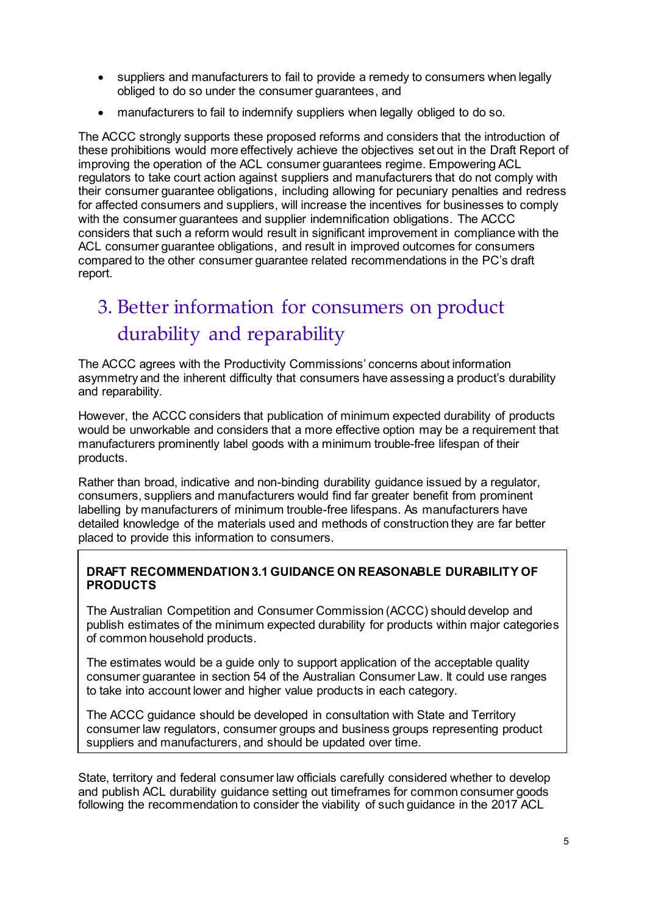- suppliers and manufacturers to fail to provide a remedy to consumers when legally obliged to do so under the consumer guarantees, and
- manufacturers to fail to indemnify suppliers when legally obliged to do so.

The ACCC strongly supports these proposed reforms and considers that the introduction of these prohibitions would more effectively achieve the objectives set out in the Draft Report of improving the operation of the ACL consumer guarantees regime. Empowering ACL regulators to take court action against suppliers and manufacturers that do not comply with their consumer guarantee obligations, including allowing for pecuniary penalties and redress for affected consumers and suppliers, will increase the incentives for businesses to comply with the consumer guarantees and supplier indemnification obligations. The ACCC considers that such a reform would result in significant improvement in compliance with the ACL consumer guarantee obligations, and result in improved outcomes for consumers compared to the other consumer guarantee related recommendations in the PC's draft report.

# 3. Better information for consumers on product durability and reparability

The ACCC agrees with the Productivity Commissions' concerns about information asymmetry and the inherent difficulty that consumers have assessing a product's durability and reparability.

However, the ACCC considers that publication of minimum expected durability of products would be unworkable and considers that a more effective option may be a requirement that manufacturers prominently label goods with a minimum trouble-free lifespan of their products.

Rather than broad, indicative and non-binding durability guidance issued by a regulator, consumers, suppliers and manufacturers would find far greater benefit from prominent labelling by manufacturers of minimum trouble-free lifespans. As manufacturers have detailed knowledge of the materials used and methods of construction they are far better placed to provide this information to consumers.

## **DRAFT RECOMMENDATION 3.1 GUIDANCE ON REASONABLE DURABILITY OF PRODUCTS**

The Australian Competition and Consumer Commission (ACCC) should develop and publish estimates of the minimum expected durability for products within major categories of common household products.

The estimates would be a guide only to support application of the acceptable quality consumer guarantee in section 54 of the Australian Consumer Law. It could use ranges to take into account lower and higher value products in each category.

The ACCC guidance should be developed in consultation with State and Territory consumer law regulators, consumer groups and business groups representing product suppliers and manufacturers, and should be updated over time.

State, territory and federal consumer law officials carefully considered whether to develop and publish ACL durability guidance setting out timeframes for common consumer goods following the recommendation to consider the viability of such guidance in the 2017 ACL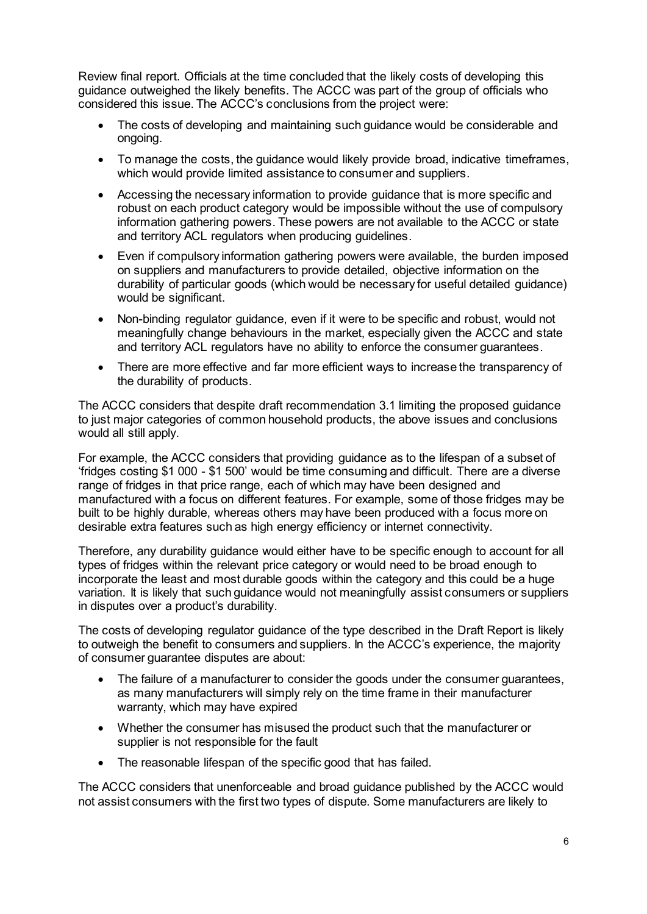Review final report. Officials at the time concluded that the likely costs of developing this guidance outweighed the likely benefits. The ACCC was part of the group of officials who considered this issue. The ACCC's conclusions from the project were:

- The costs of developing and maintaining such guidance would be considerable and ongoing.
- To manage the costs, the guidance would likely provide broad, indicative timeframes, which would provide limited assistance to consumer and suppliers.
- Accessing the necessary information to provide guidance that is more specific and robust on each product category would be impossible without the use of compulsory information gathering powers. These powers are not available to the ACCC or state and territory ACL regulators when producing guidelines.
- Even if compulsory information gathering powers were available, the burden imposed on suppliers and manufacturers to provide detailed, objective information on the durability of particular goods (which would be necessary for useful detailed guidance) would be significant.
- Non-binding regulator guidance, even if it were to be specific and robust, would not meaningfully change behaviours in the market, especially given the ACCC and state and territory ACL regulators have no ability to enforce the consumer guarantees.
- There are more effective and far more efficient ways to increase the transparency of the durability of products.

The ACCC considers that despite draft recommendation 3.1 limiting the proposed guidance to just major categories of common household products, the above issues and conclusions would all still apply.

For example, the ACCC considers that providing guidance as to the lifespan of a subset of 'fridges costing \$1 000 - \$1 500' would be time consuming and difficult. There are a diverse range of fridges in that price range, each of which may have been designed and manufactured with a focus on different features. For example, some of those fridges may be built to be highly durable, whereas others may have been produced with a focus more on desirable extra features such as high energy efficiency or internet connectivity.

Therefore, any durability guidance would either have to be specific enough to account for all types of fridges within the relevant price category or would need to be broad enough to incorporate the least and most durable goods within the category and this could be a huge variation. It is likely that such guidance would not meaningfully assist consumers or suppliers in disputes over a product's durability.

The costs of developing regulator guidance of the type described in the Draft Report is likely to outweigh the benefit to consumers and suppliers. In the ACCC's experience, the majority of consumer guarantee disputes are about:

- The failure of a manufacturer to consider the goods under the consumer guarantees, as many manufacturers will simply rely on the time frame in their manufacturer warranty, which may have expired
- Whether the consumer has misused the product such that the manufacturer or supplier is not responsible for the fault
- The reasonable lifespan of the specific good that has failed.

The ACCC considers that unenforceable and broad guidance published by the ACCC would not assist consumers with the first two types of dispute. Some manufacturers are likely to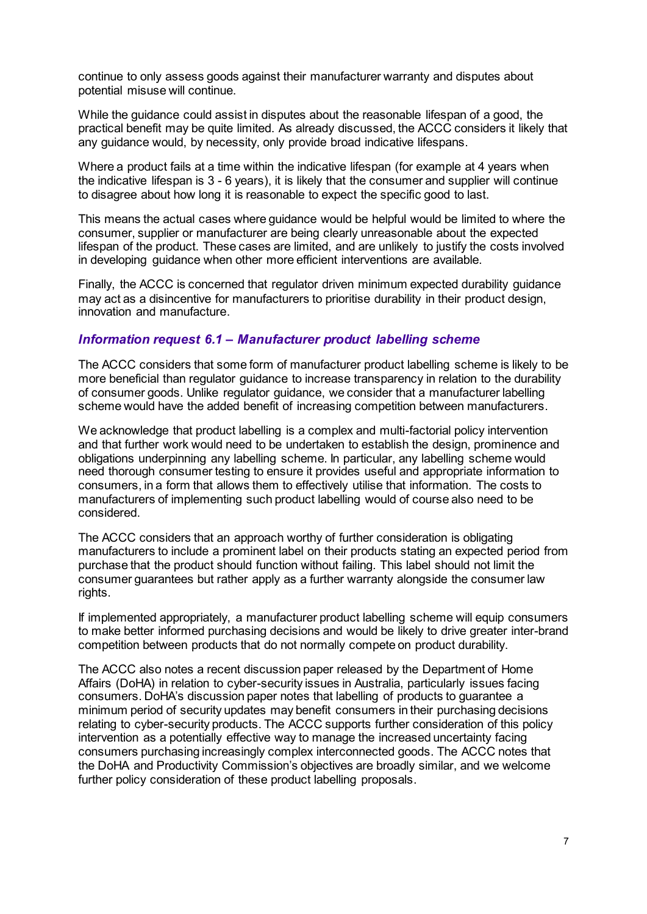continue to only assess goods against their manufacturer warranty and disputes about potential misuse will continue.

While the guidance could assist in disputes about the reasonable lifespan of a good, the practical benefit may be quite limited. As already discussed, the ACCC considers it likely that any guidance would, by necessity, only provide broad indicative lifespans.

Where a product fails at a time within the indicative lifespan (for example at 4 years when the indicative lifespan is 3 - 6 years), it is likely that the consumer and supplier will continue to disagree about how long it is reasonable to expect the specific good to last.

This means the actual cases where guidance would be helpful would be limited to where the consumer, supplier or manufacturer are being clearly unreasonable about the expected lifespan of the product. These cases are limited, and are unlikely to justify the costs involved in developing guidance when other more efficient interventions are available.

Finally, the ACCC is concerned that regulator driven minimum expected durability guidance may act as a disincentive for manufacturers to prioritise durability in their product design, innovation and manufacture.

## *Information request 6.1 – Manufacturer product labelling scheme*

The ACCC considers that some form of manufacturer product labelling scheme is likely to be more beneficial than regulator guidance to increase transparency in relation to the durability of consumer goods. Unlike regulator guidance, we consider that a manufacturer labelling scheme would have the added benefit of increasing competition between manufacturers.

We acknowledge that product labelling is a complex and multi-factorial policy intervention and that further work would need to be undertaken to establish the design, prominence and obligations underpinning any labelling scheme. In particular, any labelling scheme would need thorough consumer testing to ensure it provides useful and appropriate information to consumers, in a form that allows them to effectively utilise that information. The costs to manufacturers of implementing such product labelling would of course also need to be considered.

The ACCC considers that an approach worthy of further consideration is obligating manufacturers to include a prominent label on their products stating an expected period from purchase that the product should function without failing. This label should not limit the consumer guarantees but rather apply as a further warranty alongside the consumer law rights.

If implemented appropriately, a manufacturer product labelling scheme will equip consumers to make better informed purchasing decisions and would be likely to drive greater inter-brand competition between products that do not normally compete on product durability.

The ACCC also notes a recent discussion paper released by the Department of Home Affairs (DoHA) in relation to cyber-security issues in Australia, particularly issues facing consumers. DoHA's discussion paper notes that labelling of products to guarantee a minimum period of security updates may benefit consumers in their purchasing decisions relating to cyber-security products. The ACCC supports further consideration of this policy intervention as a potentially effective way to manage the increased uncertainty facing consumers purchasing increasingly complex interconnected goods. The ACCC notes that the DoHA and Productivity Commission's objectives are broadly similar, and we welcome further policy consideration of these product labelling proposals.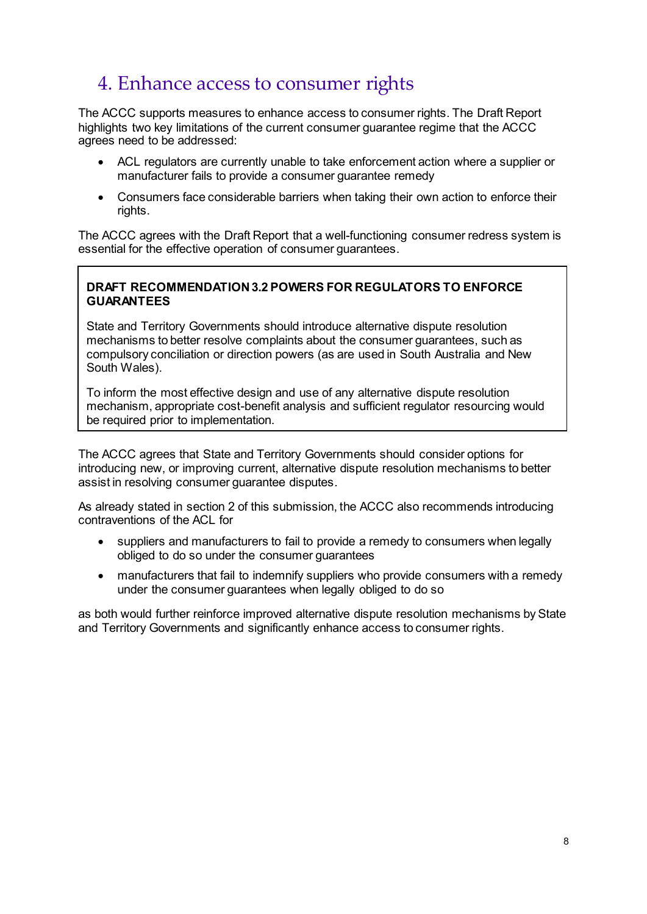## 4. Enhance access to consumer rights

The ACCC supports measures to enhance access to consumer rights. The Draft Report highlights two key limitations of the current consumer guarantee regime that the ACCC agrees need to be addressed:

- ACL regulators are currently unable to take enforcement action where a supplier or manufacturer fails to provide a consumer guarantee remedy
- Consumers face considerable barriers when taking their own action to enforce their rights.

The ACCC agrees with the Draft Report that a well-functioning consumer redress system is essential for the effective operation of consumer guarantees.

## **DRAFT RECOMMENDATION 3.2 POWERS FOR REGULATORS TO ENFORCE GUARANTEES**

State and Territory Governments should introduce alternative dispute resolution mechanisms to better resolve complaints about the consumer guarantees, such as compulsory conciliation or direction powers (as are used in South Australia and New South Wales).

To inform the most effective design and use of any alternative dispute resolution mechanism, appropriate cost-benefit analysis and sufficient regulator resourcing would be required prior to implementation.

The ACCC agrees that State and Territory Governments should consider options for introducing new, or improving current, alternative dispute resolution mechanisms to better assist in resolving consumer guarantee disputes.

As already stated in section 2 of this submission, the ACCC also recommends introducing contraventions of the ACL for

- suppliers and manufacturers to fail to provide a remedy to consumers when legally obliged to do so under the consumer guarantees
- manufacturers that fail to indemnify suppliers who provide consumers with a remedy under the consumer guarantees when legally obliged to do so

as both would further reinforce improved alternative dispute resolution mechanisms by State and Territory Governments and significantly enhance access to consumer rights.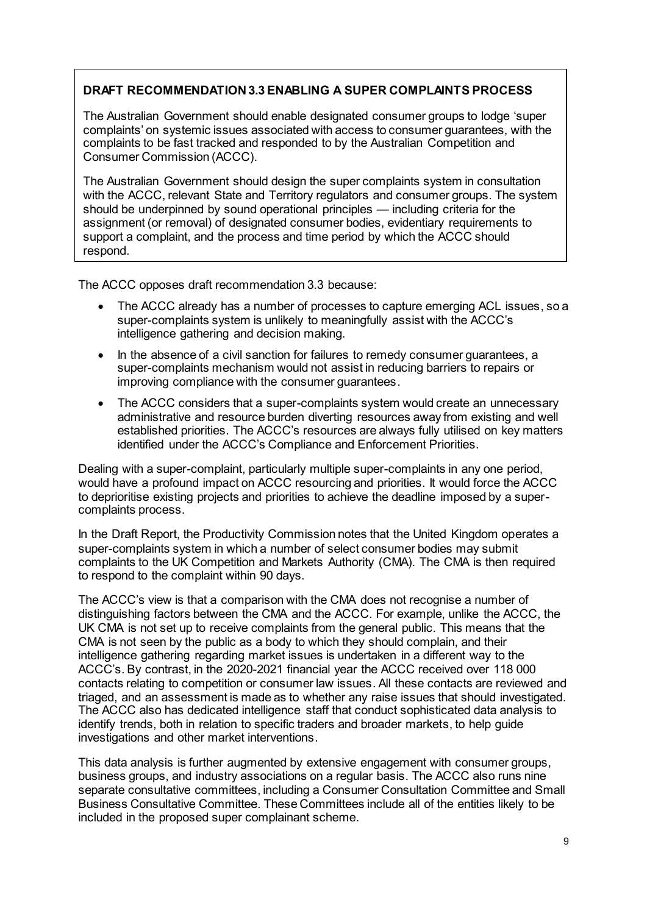## **DRAFT RECOMMENDATION 3.3 ENABLING A SUPER COMPLAINTS PROCESS**

The Australian Government should enable designated consumer groups to lodge 'super complaints' on systemic issues associated with access to consumer guarantees, with the complaints to be fast tracked and responded to by the Australian Competition and Consumer Commission (ACCC).

The Australian Government should design the super complaints system in consultation with the ACCC, relevant State and Territory regulators and consumer groups. The system should be underpinned by sound operational principles — including criteria for the assignment (or removal) of designated consumer bodies, evidentiary requirements to support a complaint, and the process and time period by which the ACCC should respond.

The ACCC opposes draft recommendation 3.3 because:

- The ACCC already has a number of processes to capture emerging ACL issues, so a super-complaints system is unlikely to meaningfully assist with the ACCC's intelligence gathering and decision making.
- In the absence of a civil sanction for failures to remedy consumer guarantees, a super-complaints mechanism would not assist in reducing barriers to repairs or improving compliance with the consumer guarantees.
- The ACCC considers that a super-complaints system would create an unnecessary administrative and resource burden diverting resources away from existing and well established priorities. The ACCC's resources are always fully utilised on key matters identified under the ACCC's Compliance and Enforcement Priorities.

Dealing with a super-complaint, particularly multiple super-complaints in any one period, would have a profound impact on ACCC resourcing and priorities. It would force the ACCC to deprioritise existing projects and priorities to achieve the deadline imposed by a supercomplaints process.

In the Draft Report, the Productivity Commission notes that the United Kingdom operates a super-complaints system in which a number of select consumer bodies may submit complaints to the UK Competition and Markets Authority (CMA). The CMA is then required to respond to the complaint within 90 days.

The ACCC's view is that a comparison with the CMA does not recognise a number of distinguishing factors between the CMA and the ACCC. For example, unlike the ACCC, the UK CMA is not set up to receive complaints from the general public. This means that the CMA is not seen by the public as a body to which they should complain, and their intelligence gathering regarding market issues is undertaken in a different way to the ACCC's. By contrast, in the 2020-2021 financial year the ACCC received over 118 000 contacts relating to competition or consumer law issues. All these contacts are reviewed and triaged, and an assessment is made as to whether any raise issues that should investigated. The ACCC also has dedicated intelligence staff that conduct sophisticated data analysis to identify trends, both in relation to specific traders and broader markets, to help guide investigations and other market interventions.

This data analysis is further augmented by extensive engagement with consumer groups, business groups, and industry associations on a regular basis. The ACCC also runs nine separate consultative committees, including a Consumer Consultation Committee and Small Business Consultative Committee. These Committees include all of the entities likely to be included in the proposed super complainant scheme.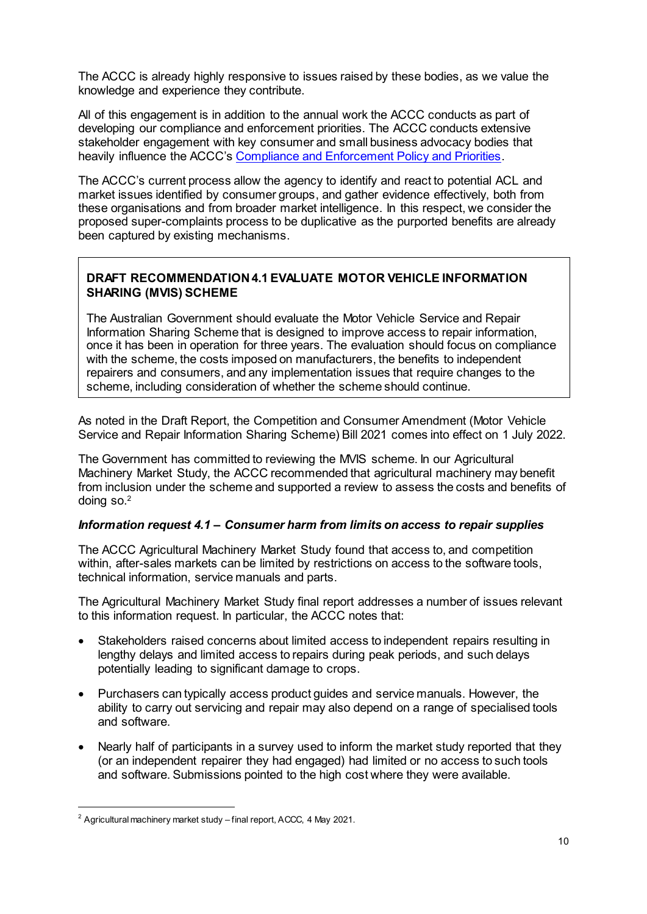The ACCC is already highly responsive to issues raised by these bodies, as we value the knowledge and experience they contribute.

All of this engagement is in addition to the annual work the ACCC conducts as part of developing our compliance and enforcement priorities. The ACCC conducts extensive stakeholder engagement with key consumer and small business advocacy bodies that heavily influence the ACCC's Compliance and Enforcement Policy and Priorities.

The ACCC's current process allow the agency to identify and react to potential ACL and market issues identified by consumer groups, and gather evidence effectively, both from these organisations and from broader market intelligence. In this respect, we consider the proposed super-complaints process to be duplicative as the purported benefits are already been captured by existing mechanisms.

## **DRAFT RECOMMENDATION 4.1 EVALUATE MOTOR VEHICLE INFORMATION SHARING (MVIS) SCHEME**

The Australian Government should evaluate the Motor Vehicle Service and Repair Information Sharing Scheme that is designed to improve access to repair information, once it has been in operation for three years. The evaluation should focus on compliance with the scheme, the costs imposed on manufacturers, the benefits to independent repairers and consumers, and any implementation issues that require changes to the scheme, including consideration of whether the scheme should continue.

As noted in the Draft Report, the Competition and Consumer Amendment (Motor Vehicle Service and Repair Information Sharing Scheme) Bill 2021 comes into effect on 1 July 2022.

The Government has committed to reviewing the MVIS scheme. In our Agricultural Machinery Market Study, the ACCC recommended that agricultural machinery may benefit from inclusion under the scheme and supported a review to assess the costs and benefits of doing so.<sup>2</sup>

#### *Information request 4.1 – Consumer harm from limits on access to repair supplies*

The ACCC Agricultural Machinery Market Study found that access to, and competition within, after-sales markets can be limited by restrictions on access to the software tools, technical information, service manuals and parts.

The Agricultural Machinery Market Study final report addresses a number of issues relevant to this information request. In particular, the ACCC notes that:

- Stakeholders raised concerns about limited access to independent repairs resulting in lengthy delays and limited access to repairs during peak periods, and such delays potentially leading to significant damage to crops.
- Purchasers can typically access product guides and service manuals. However, the ability to carry out servicing and repair may also depend on a range of specialised tools and software.
- Nearly half of participants in a survey used to inform the market study reported that they (or an independent repairer they had engaged) had limited or no access to such tools and software. Submissions pointed to the high cost where they were available.

 $\overline{a}$ 

<sup>&</sup>lt;sup>2</sup> Agricultural machinery market study – final report, ACCC, 4 May 2021.